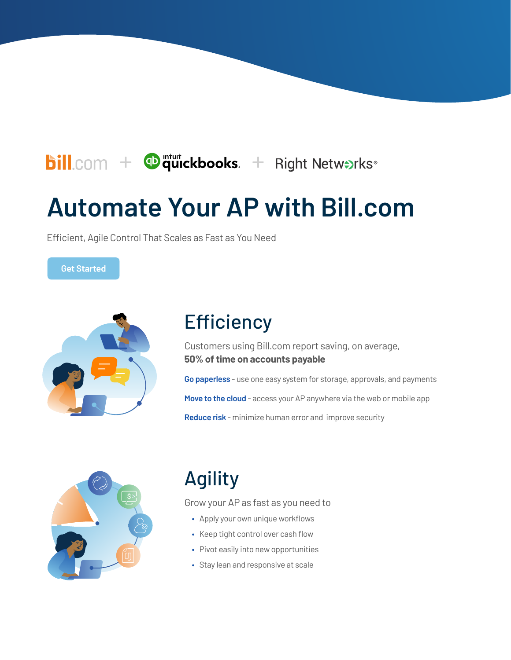## $\text{bill.com}$  +  $\Phi$  quickbooks. + Right Netwerks<sup>®</sup>

# **Automate Your AP with Bill.com**

Efficient, Agile Control That Scales as Fast as You Need

**Get Started** 



### **Efficiency**

Customers using Bill.com report saving, on average, **50% of time on accounts payable**

**Go paperless** - use one easy system for storage, approvals, and payments

**Move to the cloud** - access your AP anywhere via the web or mobile app

**Reduce risk** - minimize human error and improve security



# Agility

Grow your AP as fast as you need to

- **•** Apply your own unique workflows
- **•** Keep tight control over cash flow
- **•** Pivot easily into new opportunities
- **•** Stay lean and responsive at scale